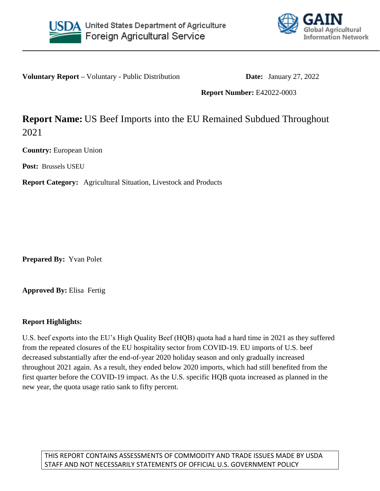



**Voluntary Report –** Voluntary - Public Distribution **Date:** January 27, 2022

**Report Number:** E42022-0003

# **Report Name:** US Beef Imports into the EU Remained Subdued Throughout 2021

**Country:** European Union

**Post:** Brussels USEU

**Report Category:** Agricultural Situation, Livestock and Products

**Prepared By:** Yvan Polet

**Approved By:** Elisa Fertig

## **Report Highlights:**

U.S. beef exports into the EU's High Quality Beef (HQB) quota had a hard time in 2021 as they suffered from the repeated closures of the EU hospitality sector from COVID-19. EU imports of U.S. beef decreased substantially after the end-of-year 2020 holiday season and only gradually increased throughout 2021 again. As a result, they ended below 2020 imports, which had still benefited from the first quarter before the COVID-19 impact. As the U.S. specific HQB quota increased as planned in the new year, the quota usage ratio sank to fifty percent.

THIS REPORT CONTAINS ASSESSMENTS OF COMMODITY AND TRADE ISSUES MADE BY USDA STAFF AND NOT NECESSARILY STATEMENTS OF OFFICIAL U.S. GOVERNMENT POLICY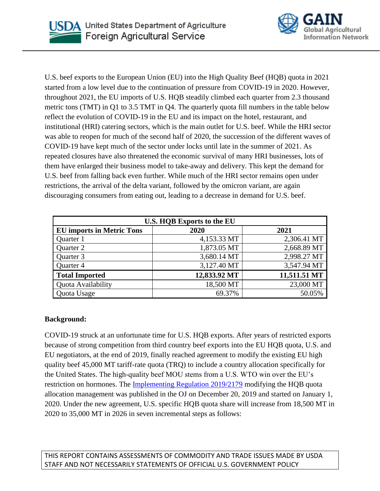



U.S. beef exports to the European Union (EU) into the High Quality Beef (HQB) quota in 2021 started from a low level due to the continuation of pressure from COVID-19 in 2020. However, throughout 2021, the EU imports of U.S. HQB steadily climbed each quarter from 2.3 thousand metric tons (TMT) in Q1 to 3.5 TMT in Q4. The quarterly quota fill numbers in the table below reflect the evolution of COVID-19 in the EU and its impact on the hotel, restaurant, and institutional (HRI) catering sectors, which is the main outlet for U.S. beef. While the HRI sector was able to reopen for much of the second half of 2020, the succession of the different waves of COVID-19 have kept much of the sector under locks until late in the summer of 2021. As repeated closures have also threatened the economic survival of many HRI businesses, lots of them have enlarged their business model to take-away and delivery. This kept the demand for U.S. beef from falling back even further. While much of the HRI sector remains open under restrictions, the arrival of the delta variant, followed by the omicron variant, are again discouraging consumers from eating out, leading to a decrease in demand for U.S. beef.

| U.S. HQB Exports to the EU       |              |              |  |  |
|----------------------------------|--------------|--------------|--|--|
| <b>EU</b> imports in Metric Tons | 2020         | 2021         |  |  |
| Quarter 1                        | 4,153.33 MT  | 2,306.41 MT  |  |  |
| Quarter 2                        | 1,873.05 MT  | 2,668.89 MT  |  |  |
| Quarter 3                        | 3,680.14 MT  | 2,998.27 MT  |  |  |
| Quarter 4                        | 3,127.40 MT  | 3,547.94 MT  |  |  |
| <b>Total Imported</b>            | 12,833.92 MT | 11,511.51 MT |  |  |
| Quota Availability               | 18,500 MT    | 23,000 MT    |  |  |
| Quota Usage                      | 69.37%       | 50.05%       |  |  |

## **Background:**

COVID-19 struck at an unfortunate time for U.S. HQB exports. After years of restricted exports because of strong competition from third country beef exports into the EU HQB quota, U.S. and EU negotiators, at the end of 2019, finally reached agreement to modify the existing EU high quality beef 45,000 MT tariff-rate quota (TRQ) to include a country allocation specifically for the United States. The high-quality beef MOU stems from a U.S. WTO win over the EU's restriction on hormones. The [Implementing Regulation 2019/2179](https://eur-lex.europa.eu/legal-content/EN/TXT/?uri=uriserv:OJ.L_.2019.330.01.0003.01.ENG&toc=OJ:L:2019:330:TOC) modifying the HQB quota allocation management was published in the OJ on December 20, 2019 and started on January 1, 2020. Under the new agreement, U.S. specific HQB quota share will increase from 18,500 MT in 2020 to 35,000 MT in 2026 in seven incremental steps as follows:

THIS REPORT CONTAINS ASSESSMENTS OF COMMODITY AND TRADE ISSUES MADE BY USDA STAFF AND NOT NECESSARILY STATEMENTS OF OFFICIAL U.S. GOVERNMENT POLICY